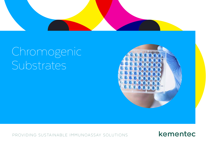

# Chromogenic Substrates



PROVIDING SUSTAINABLE IMMUNOASSAY SOLUTIONS

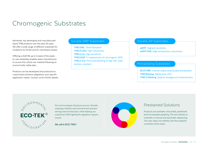## Chromogenic Substrates

Kementec has developed and manufactured liquid TMB products over the past 25 years. We offer a wide range of different substrate formulations for ELISA and for membrane assays.

Offering a shelf life up to 4 years of the readyto-use substrates enables assay manufactures to source this critical raw material following an economically viable plan.

Products can be developed and produced as customized solutions adapted to your specific application needs. Contact us for further details.

#### Soluble HRP Substrates Summun Substrates Soluble AP Substrates

**TMB ONE**: "Gold Standard" **TMB PLUS2**: High robustness **TMB X-tra**: High sensitivity **TMB EASE**: 1:1 replacement of carcinogenic OPD **TMB X-tnd**: None precipitating at high OD, wash solution resistant and a solution resistant of the Precipitating Substrates

**pNPP:** Highest sensitivity **pNPP ONE:** High temperature robustness

**BCIP/NBT:** Intense stable blue/purple precipitates **TMB Blotting:** Stable blue color **TMB-D Blotting:** Superior background characteristics



Our Immunoassay Solutions are eco-friendly, creating a healthy work environment and preserving natural resources, while helping our customers fulfill significant regulatory requirements.

**We call it ECO-TEK®**



### Prestained Solutions

Products are available colorcoded, prestained pink for traceable pipetting. The red indicator is a benefit in manual and automatic dispensing. The color does not interfere with the endpoint or kinetics of the assay.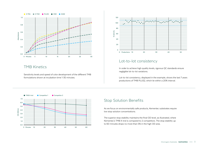

#### TMB Kinetics

Sensitivity levels and speed of color development of the different TMB formulations shown at incubation time 1-30 minutes.



### Lot-to-lot consistency

In order to achieve high quality levels, rigorous QC standards ensure negligible lot-to-lot variations.

Lot-to-lot consistency, displayed in the example, shows the last 7 years productions of TMB PLUS2, which lie within a 20% interval.



## Stop Solution Benefits

As we focus on environmentally safe products, Kementec substrates require low stop solution concentrations.

The superior stop stability maintains the final OD level, as illustrated, where Kementec's TMB X-tnd is compared to 2 competitors. The stop stability up to 60 minutes drops no more than 5% in the high OD area.